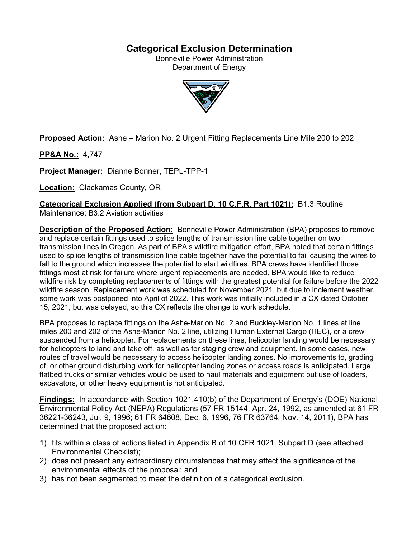# **Categorical Exclusion Determination**

Bonneville Power Administration Department of Energy



**Proposed Action:** Ashe – Marion No. 2 Urgent Fitting Replacements Line Mile 200 to 202

**PP&A No.:** 4,747

**Project Manager:** Dianne Bonner, TEPL-TPP-1

**Location:** Clackamas County, OR

**Categorical Exclusion Applied (from Subpart D, 10 C.F.R. Part 1021):** B1.3 Routine

Maintenance; B3.2 Aviation activities

**Description of the Proposed Action:** Bonneville Power Administration (BPA) proposes to remove and replace certain fittings used to splice lengths of transmission line cable together on two transmission lines in Oregon. As part of BPA's wildfire mitigation effort, BPA noted that certain fittings used to splice lengths of transmission line cable together have the potential to fail causing the wires to fall to the ground which increases the potential to start wildfires. BPA crews have identified those fittings most at risk for failure where urgent replacements are needed. BPA would like to reduce wildfire risk by completing replacements of fittings with the greatest potential for failure before the 2022 wildfire season. Replacement work was scheduled for November 2021, but due to inclement weather, some work was postponed into April of 2022. This work was initially included in a CX dated October 15, 2021, but was delayed, so this CX reflects the change to work schedule.

BPA proposes to replace fittings on the Ashe-Marion No. 2 and Buckley-Marion No. 1 lines at line miles 200 and 202 of the Ashe-Marion No. 2 line, utilizing Human External Cargo (HEC), or a crew suspended from a helicopter. For replacements on these lines, helicopter landing would be necessary for helicopters to land and take off, as well as for staging crew and equipment. In some cases, new routes of travel would be necessary to access helicopter landing zones. No improvements to, grading of, or other ground disturbing work for helicopter landing zones or access roads is anticipated. Large flatbed trucks or similar vehicles would be used to haul materials and equipment but use of loaders, excavators, or other heavy equipment is not anticipated.

**Findings:** In accordance with Section 1021.410(b) of the Department of Energy's (DOE) National Environmental Policy Act (NEPA) Regulations (57 FR 15144, Apr. 24, 1992, as amended at 61 FR 36221-36243, Jul. 9, 1996; 61 FR 64608, Dec. 6, 1996, 76 FR 63764, Nov. 14, 2011), BPA has determined that the proposed action:

- 1) fits within a class of actions listed in Appendix B of 10 CFR 1021, Subpart D (see attached Environmental Checklist);
- 2) does not present any extraordinary circumstances that may affect the significance of the environmental effects of the proposal; and
- 3) has not been segmented to meet the definition of a categorical exclusion.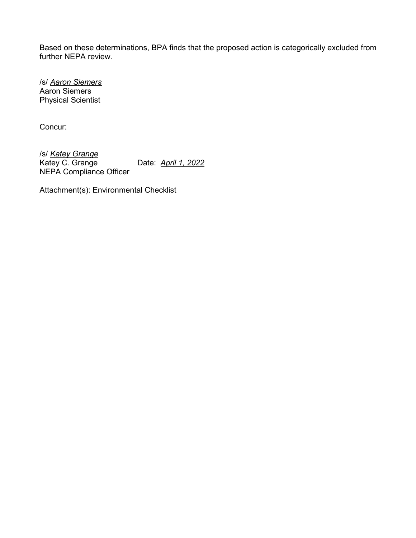Based on these determinations, BPA finds that the proposed action is categorically excluded from further NEPA review.

/s/ *Aaron Siemers* Aaron Siemers Physical Scientist

Concur:

/s/ *Katey Grange* Date: **April 1, 2022** NEPA Compliance Officer

Attachment(s): Environmental Checklist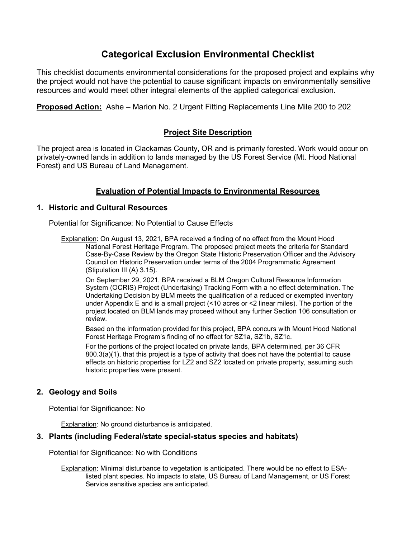# **Categorical Exclusion Environmental Checklist**

This checklist documents environmental considerations for the proposed project and explains why the project would not have the potential to cause significant impacts on environmentally sensitive resources and would meet other integral elements of the applied categorical exclusion.

**Proposed Action:** Ashe – Marion No. 2 Urgent Fitting Replacements Line Mile 200 to 202

# **Project Site Description**

The project area is located in Clackamas County, OR and is primarily forested. Work would occur on privately-owned lands in addition to lands managed by the US Forest Service (Mt. Hood National Forest) and US Bureau of Land Management.

# **Evaluation of Potential Impacts to Environmental Resources**

#### **1. Historic and Cultural Resources**

Potential for Significance: No Potential to Cause Effects

Explanation: On August 13, 2021, BPA received a finding of no effect from the Mount Hood National Forest Heritage Program. The proposed project meets the criteria for Standard Case-By-Case Review by the Oregon State Historic Preservation Officer and the Advisory Council on Historic Preservation under terms of the 2004 Programmatic Agreement (Stipulation III (A) 3.15).

On September 29, 2021, BPA received a BLM Oregon Cultural Resource Information System (OCRIS) Project (Undertaking) Tracking Form with a no effect determination. The Undertaking Decision by BLM meets the qualification of a reduced or exempted inventory under Appendix E and is a small project (<10 acres or <2 linear miles). The portion of the project located on BLM lands may proceed without any further Section 106 consultation or review.

Based on the information provided for this project, BPA concurs with Mount Hood National Forest Heritage Program's finding of no effect for SZ1a, SZ1b, SZ1c.

For the portions of the project located on private lands, BPA determined, per 36 CFR 800.3(a)(1), that this project is a type of activity that does not have the potential to cause effects on historic properties for LZ2 and SZ2 located on private property, assuming such historic properties were present.

# **2. Geology and Soils**

Potential for Significance: No

Explanation: No ground disturbance is anticipated.

#### **3. Plants (including Federal/state special-status species and habitats)**

Potential for Significance: No with Conditions

Explanation: Minimal disturbance to vegetation is anticipated. There would be no effect to ESAlisted plant species. No impacts to state, US Bureau of Land Management, or US Forest Service sensitive species are anticipated.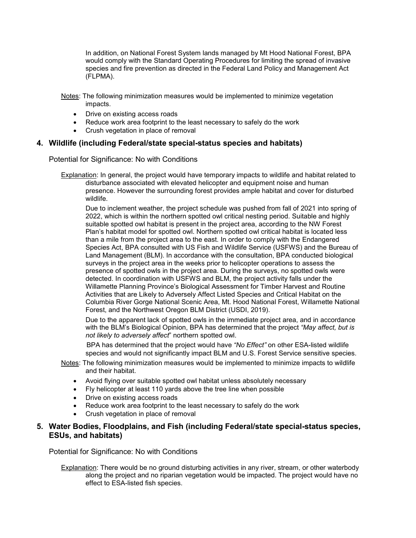In addition, on National Forest System lands managed by Mt Hood National Forest, BPA would comply with the Standard Operating Procedures for limiting the spread of invasive species and fire prevention as directed in the Federal Land Policy and Management Act (FLPMA).

Notes: The following minimization measures would be implemented to minimize vegetation impacts.

- Drive on existing access roads
- Reduce work area footprint to the least necessary to safely do the work
- Crush vegetation in place of removal

#### **4. Wildlife (including Federal/state special-status species and habitats)**

Potential for Significance: No with Conditions

Explanation: In general, the project would have temporary impacts to wildlife and habitat related to disturbance associated with elevated helicopter and equipment noise and human presence. However the surrounding forest provides ample habitat and cover for disturbed wildlife.

Due to inclement weather, the project schedule was pushed from fall of 2021 into spring of 2022, which is within the northern spotted owl critical nesting period. Suitable and highly suitable spotted owl habitat is present in the project area, according to the NW Forest Plan's habitat model for spotted owl. Northern spotted owl critical habitat is located less than a mile from the project area to the east. In order to comply with the Endangered Species Act, BPA consulted with US Fish and Wildlife Service (USFWS) and the Bureau of Land Management (BLM). In accordance with the consultation, BPA conducted biological surveys in the project area in the weeks prior to helicopter operations to assess the presence of spotted owls in the project area. During the surveys, no spotted owls were detected. In coordination with USFWS and BLM, the project activity falls under the Willamette Planning Province's Biological Assessment for Timber Harvest and Routine Activities that are Likely to Adversely Affect Listed Species and Critical Habitat on the Columbia River Gorge National Scenic Area, Mt. Hood National Forest, Willamette National Forest, and the Northwest Oregon BLM District (USDI, 2019).

Due to the apparent lack of spotted owls in the immediate project area, and in accordance with the BLM's Biological Opinion, BPA has determined that the project *"May affect, but is not likely to adversely affect*" northern spotted owl.

 BPA has determined that the project would have *"No Effect"* on other ESA-listed wildlife species and would not significantly impact BLM and U.S. Forest Service sensitive species.

- Notes: The following minimization measures would be implemented to minimize impacts to wildlife and their habitat.
	- Avoid flying over suitable spotted owl habitat unless absolutely necessary
	- Fly helicopter at least 110 yards above the tree line when possible
	- Drive on existing access roads
	- Reduce work area footprint to the least necessary to safely do the work
	- Crush vegetation in place of removal

# **5. Water Bodies, Floodplains, and Fish (including Federal/state special-status species, ESUs, and habitats)**

Potential for Significance: No with Conditions

Explanation: There would be no ground disturbing activities in any river, stream, or other waterbody along the project and no riparian vegetation would be impacted. The project would have no effect to ESA-listed fish species.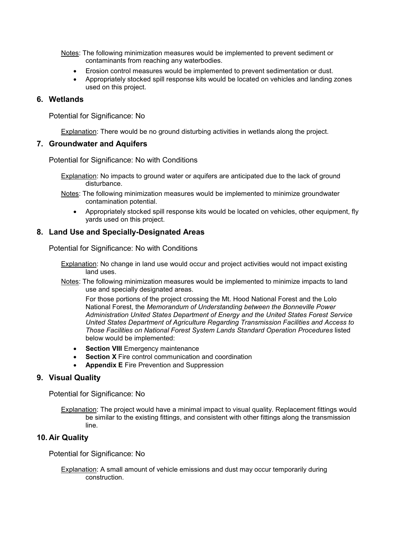- Notes: The following minimization measures would be implemented to prevent sediment or contaminants from reaching any waterbodies.
	- Erosion control measures would be implemented to prevent sedimentation or dust.
	- Appropriately stocked spill response kits would be located on vehicles and landing zones used on this project.

#### **6. Wetlands**

Potential for Significance: No

Explanation: There would be no ground disturbing activities in wetlands along the project.

#### **7. Groundwater and Aquifers**

Potential for Significance: No with Conditions

- Explanation: No impacts to ground water or aquifers are anticipated due to the lack of ground disturbance.
- Notes: The following minimization measures would be implemented to minimize groundwater contamination potential.
	- Appropriately stocked spill response kits would be located on vehicles, other equipment, fly yards used on this project.

# **8. Land Use and Specially-Designated Areas**

Potential for Significance: No with Conditions

- Explanation: No change in land use would occur and project activities would not impact existing land uses.
- Notes: The following minimization measures would be implemented to minimize impacts to land use and specially designated areas.

For those portions of the project crossing the Mt. Hood National Forest and the Lolo National Forest, the *Memorandum of Understanding between the Bonneville Power Administration United States Department of Energy and the United States Forest Service United States Department of Agriculture Regarding Transmission Facilities and Access to Those Facilities on National Forest System Lands Standard Operation Procedures* listed below would be implemented:

- **Section VIII** Emergency maintenance
- **Section X** Fire control communication and coordination
- **Appendix E** Fire Prevention and Suppression

# **9. Visual Quality**

Potential for Significance: No

Explanation: The project would have a minimal impact to visual quality. Replacement fittings would be similar to the existing fittings, and consistent with other fittings along the transmission line.

# **10. Air Quality**

Potential for Significance: No

Explanation: A small amount of vehicle emissions and dust may occur temporarily during construction.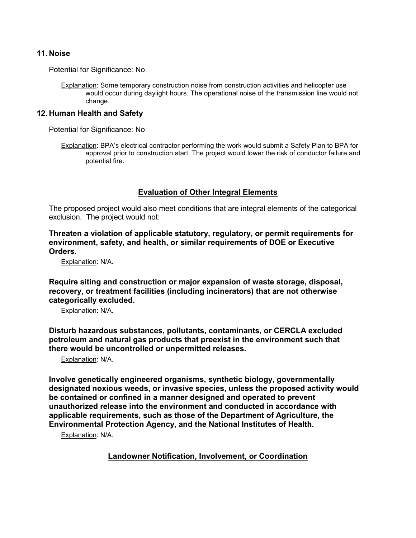#### **11. Noise**

Potential for Significance: No

Explanation: Some temporary construction noise from construction activities and helicopter use would occur during daylight hours. The operational noise of the transmission line would not change.

#### **12. Human Health and Safety**

Potential for Significance: No

Explanation: BPA's electrical contractor performing the work would submit a Safety Plan to BPA for approval prior to construction start. The project would lower the risk of conductor failure and potential fire.

# **Evaluation of Other Integral Elements**

The proposed project would also meet conditions that are integral elements of the categorical exclusion. The project would not:

**Threaten a violation of applicable statutory, regulatory, or permit requirements for environment, safety, and health, or similar requirements of DOE or Executive Orders.**

Explanation: N/A.

**Require siting and construction or major expansion of waste storage, disposal, recovery, or treatment facilities (including incinerators) that are not otherwise categorically excluded.**

Explanation: N/A.

**Disturb hazardous substances, pollutants, contaminants, or CERCLA excluded petroleum and natural gas products that preexist in the environment such that there would be uncontrolled or unpermitted releases.**

Explanation: N/A.

**Involve genetically engineered organisms, synthetic biology, governmentally designated noxious weeds, or invasive species, unless the proposed activity would be contained or confined in a manner designed and operated to prevent unauthorized release into the environment and conducted in accordance with applicable requirements, such as those of the Department of Agriculture, the Environmental Protection Agency, and the National Institutes of Health.**

Explanation: N/A.

**Landowner Notification, Involvement, or Coordination**